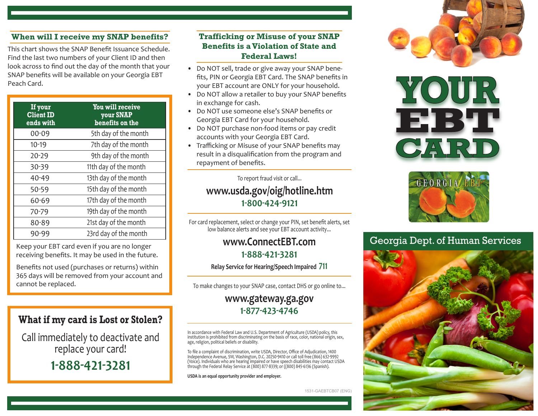#### **When will I receive my SNAP benefits?**

This chart shows the SNAP Benefit Issuance Schedule. Find the last two numbers of your Client ID and then look across to find out the day of the month that your SNAP benefits will be available on your Georgia EBT Peach Card.

| If your<br><b>Client ID</b><br>ends with | You will receive<br>your SNAP<br>benefits on the |
|------------------------------------------|--------------------------------------------------|
| 00-09                                    | 5th day of the month                             |
| $10-19$                                  | 7th day of the month                             |
| $20 - 29$                                | 9th day of the month                             |
| 30-39                                    | 11th day of the month                            |
| 40-49                                    | 13th day of the month                            |
| 50-59                                    | 15th day of the month                            |
| 60-69                                    | 17th day of the month                            |
| 70-79                                    | 19th day of the month                            |
| 80-89                                    | 21st day of the month                            |
| 90-99                                    | 23rd day of the month                            |

Keep your EBT card even if you are no longer receiving benefits. It may be used in the future.

Benefits not used (purchases or returns) within 365 days will be removed from your account and cannot be replaced.

# **What if my card is Lost or Stolen?**

Call immediately to deactivate and replace your card!

**1-888-421-3281**

### **Trafficking or Misuse of your SNAP Benefits is a Violation of State and Federal Laws!**

- Do NOT sell, trade or give away your SNAP benefits, PIN or Georgia EBT Card. The SNAP benefits in your EBT account are ONLY for your household.
- Do NOT allow a retailer to buy your SNAP benefits in exchange for cash.
- Do NOT use someone else's SNAP benefits or Georgia EBT Card for your household.
- Do NOT purchase non-food items or pay credit accounts with your Georgia EBT Card.
- Trafficking or Misuse of your SNAP benefits may result in a disqualification from the program and repayment of benefits.

To report fraud visit or call...

## **www.usda.gov/oig/hotline.htm 1-800-424-9121**

For card replacement, select or change your PIN, set benefit alerts, set low balance alerts and see your EBT account activity...

# **www.ConnectEBT.com 1-888-421-3281**

**Relay Service for Hearing/Speech Impaired 711**

To make changes to your SNAP case, contact DHS or go online to...

# **www.gateway.ga.gov 1-877-423-4746**

In accordance with Federal Law and U.S. Department of Agriculture (USDA) policy, this institution is prohibited from discriminating on the basis of race, color, national origin, sex, age, religion, political beliefs or disability.

To file a complaint of discrimination, write USDA, Director, Office of Adjudication, 1400 Independence Avenue, SW, Washington, D.C. 20250-9410 or call toll free (866) 632-9992 (Voice). Individuals who are hearing impaired or have speech disabilities may contact USDA through the Federal Relay Service at (800) 877-8339; or ((800) 845-6136 (Spanish).

**USDA is an equal opportunity provider and employer.**

1531-GAEBTCB07 (ENG)







# Georgia Dept. of Human Services